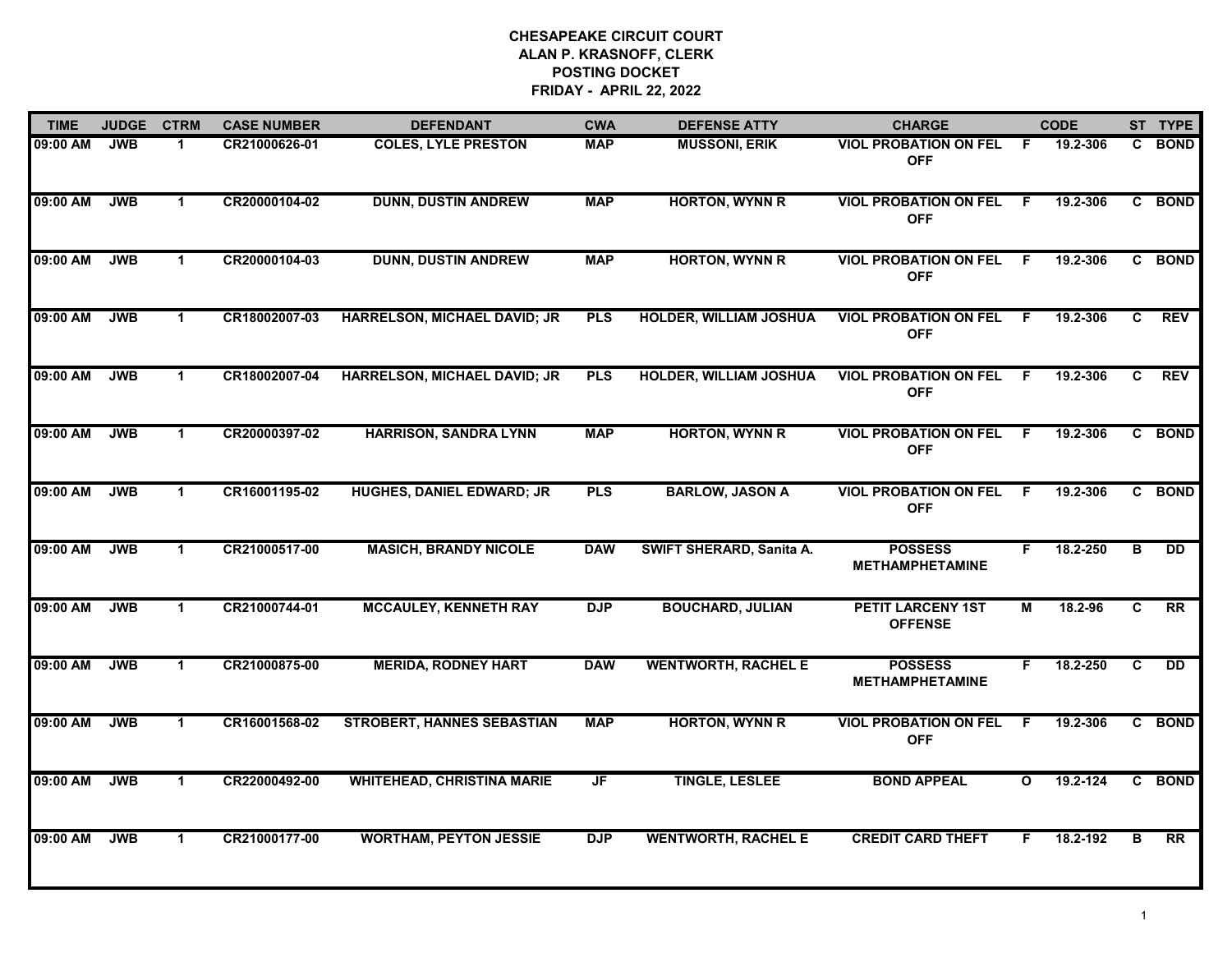| <b>TIME</b> | <b>JUDGE</b> | <b>CTRM</b>  | <b>CASE NUMBER</b> | <b>DEFENDANT</b>                    | <b>CWA</b> | <b>DEFENSE ATTY</b>             | <b>CHARGE</b>                              |              | <b>CODE</b> |                | ST TYPE         |
|-------------|--------------|--------------|--------------------|-------------------------------------|------------|---------------------------------|--------------------------------------------|--------------|-------------|----------------|-----------------|
| 09:00 AM    | <b>JWB</b>   | -1           | CR21000626-01      | <b>COLES, LYLE PRESTON</b>          | <b>MAP</b> | <b>MUSSONI, ERIK</b>            | <b>VIOL PROBATION ON FEL</b><br><b>OFF</b> | - F          | 19.2-306    | C.             | <b>BOND</b>     |
| 09:00 AM    | <b>JWB</b>   | $\mathbf 1$  | CR20000104-02      | <b>DUNN, DUSTIN ANDREW</b>          | <b>MAP</b> | <b>HORTON, WYNN R</b>           | <b>VIOL PROBATION ON FEL</b><br><b>OFF</b> | -F           | 19.2-306    |                | C BOND          |
| 09:00 AM    | <b>JWB</b>   | $\mathbf 1$  | CR20000104-03      | <b>DUNN, DUSTIN ANDREW</b>          | <b>MAP</b> | <b>HORTON, WYNN R</b>           | <b>VIOL PROBATION ON FEL</b><br><b>OFF</b> | .F           | 19.2-306    |                | C BOND          |
| 09:00 AM    | <b>JWB</b>   | 1            | CR18002007-03      | <b>HARRELSON, MICHAEL DAVID; JR</b> | <b>PLS</b> | <b>HOLDER, WILLIAM JOSHUA</b>   | <b>VIOL PROBATION ON FEL</b><br><b>OFF</b> | -F           | 19.2-306    | C              | <b>REV</b>      |
| 09:00 AM    | <b>JWB</b>   | $\mathbf 1$  | CR18002007-04      | <b>HARRELSON, MICHAEL DAVID; JR</b> | <b>PLS</b> | <b>HOLDER, WILLIAM JOSHUA</b>   | <b>VIOL PROBATION ON FEL</b><br><b>OFF</b> | .F           | 19.2-306    | $\overline{c}$ | <b>REV</b>      |
| 09:00 AM    | <b>JWB</b>   | $\mathbf 1$  | CR20000397-02      | <b>HARRISON, SANDRA LYNN</b>        | <b>MAP</b> | <b>HORTON, WYNN R</b>           | <b>VIOL PROBATION ON FEL</b><br><b>OFF</b> | F.           | 19.2-306    |                | C BOND          |
| 09:00 AM    | <b>JWB</b>   | $\mathbf{1}$ | CR16001195-02      | <b>HUGHES, DANIEL EDWARD; JR</b>    | <b>PLS</b> | <b>BARLOW, JASON A</b>          | <b>VIOL PROBATION ON FEL</b><br><b>OFF</b> | F.           | 19.2-306    |                | C BOND          |
| 09:00 AM    | <b>JWB</b>   | $\mathbf{1}$ | CR21000517-00      | <b>MASICH, BRANDY NICOLE</b>        | <b>DAW</b> | <b>SWIFT SHERARD, Sanita A.</b> | <b>POSSESS</b><br><b>METHAMPHETAMINE</b>   | F.           | 18.2-250    | B              | <b>DD</b>       |
| 09:00 AM    | <b>JWB</b>   | $\mathbf{1}$ | CR21000744-01      | <b>MCCAULEY, KENNETH RAY</b>        | <b>DJP</b> | <b>BOUCHARD, JULIAN</b>         | <b>PETIT LARCENY 1ST</b><br><b>OFFENSE</b> | M            | 18.2-96     | C              | $\overline{RR}$ |
| 09:00 AM    | <b>JWB</b>   | $\mathbf{1}$ | CR21000875-00      | <b>MERIDA, RODNEY HART</b>          | <b>DAW</b> | <b>WENTWORTH, RACHEL E</b>      | <b>POSSESS</b><br><b>METHAMPHETAMINE</b>   | F            | 18.2-250    | C              | $\overline{DD}$ |
| 09:00 AM    | <b>JWB</b>   | $\mathbf 1$  | CR16001568-02      | <b>STROBERT, HANNES SEBASTIAN</b>   | <b>MAP</b> | <b>HORTON, WYNN R</b>           | <b>VIOL PROBATION ON FEL</b><br><b>OFF</b> | -F           | 19.2-306    |                | C BOND          |
| 09:00 AM    | <b>JWB</b>   | $\mathbf{1}$ | CR22000492-00      | <b>WHITEHEAD, CHRISTINA MARIE</b>   | JF         | <b>TINGLE, LESLEE</b>           | <b>BOND APPEAL</b>                         | $\mathbf{o}$ | 19.2-124    |                | C BOND          |
| 09:00 AM    | <b>JWB</b>   | $\mathbf 1$  | CR21000177-00      | <b>WORTHAM, PEYTON JESSIE</b>       | <b>DJP</b> | <b>WENTWORTH, RACHEL E</b>      | <b>CREDIT CARD THEFT</b>                   | F.           | 18.2-192    | в              | <b>RR</b>       |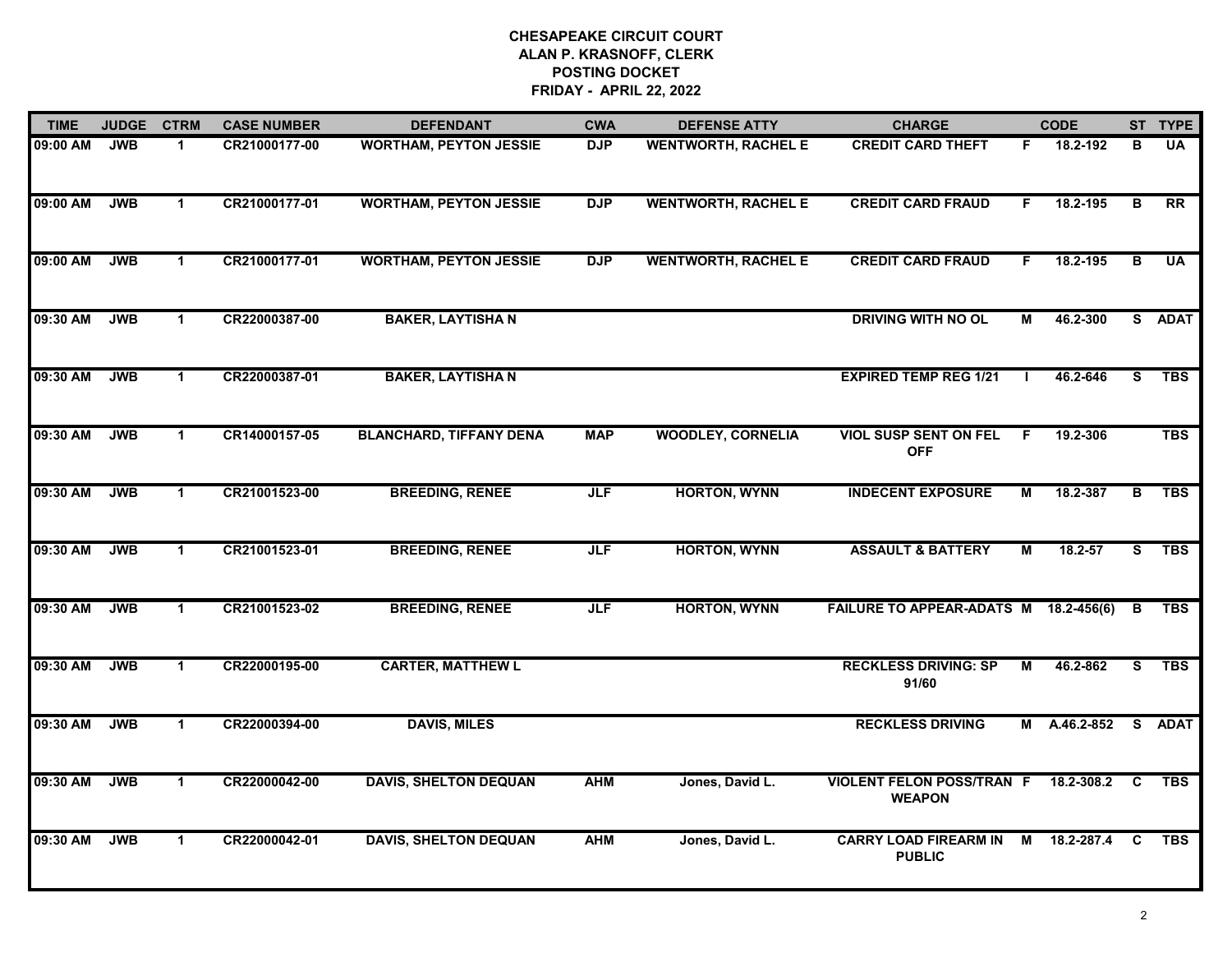| <b>TIME</b> | <b>JUDGE</b> | <b>CTRM</b>  | <b>CASE NUMBER</b> | <b>DEFENDANT</b>               | <b>CWA</b> | <b>DEFENSE ATTY</b>        | <b>CHARGE</b>                                       |    | <b>CODE</b>  |                | ST TYPE         |
|-------------|--------------|--------------|--------------------|--------------------------------|------------|----------------------------|-----------------------------------------------------|----|--------------|----------------|-----------------|
| 09:00 AM    | <b>JWB</b>   | $\mathbf 1$  | CR21000177-00      | <b>WORTHAM, PEYTON JESSIE</b>  | <b>DJP</b> | <b>WENTWORTH, RACHEL E</b> | <b>CREDIT CARD THEFT</b>                            | F. | 18.2-192     | B              | <b>UA</b>       |
| 09:00 AM    | <b>JWB</b>   | $\mathbf 1$  | CR21000177-01      | <b>WORTHAM, PEYTON JESSIE</b>  | <b>DJP</b> | <b>WENTWORTH, RACHEL E</b> | <b>CREDIT CARD FRAUD</b>                            | F. | 18.2-195     | $\overline{B}$ | $\overline{RR}$ |
| 09:00 AM    | <b>JWB</b>   | $\mathbf 1$  | CR21000177-01      | <b>WORTHAM, PEYTON JESSIE</b>  | <b>DJP</b> | <b>WENTWORTH, RACHEL E</b> | <b>CREDIT CARD FRAUD</b>                            | F. | 18.2-195     | B              | <b>UA</b>       |
| 09:30 AM    | <b>JWB</b>   | $\mathbf 1$  | CR22000387-00      | <b>BAKER, LAYTISHA N</b>       |            |                            | <b>DRIVING WITH NO OL</b>                           | М  | 46.2-300     |                | S ADAT          |
| 09:30 AM    | <b>JWB</b>   | $\mathbf 1$  | CR22000387-01      | <b>BAKER, LAYTISHA N</b>       |            |                            | <b>EXPIRED TEMP REG 1/21</b>                        | л. | 46.2-646     | S              | <b>TBS</b>      |
| 09:30 AM    | <b>JWB</b>   | $\mathbf{1}$ | CR14000157-05      | <b>BLANCHARD, TIFFANY DENA</b> | <b>MAP</b> | <b>WOODLEY, CORNELIA</b>   | <b>VIOL SUSP SENT ON FEL</b><br><b>OFF</b>          | .F | 19.2-306     |                | <b>TBS</b>      |
| 09:30 AM    | <b>JWB</b>   | $\mathbf{1}$ | CR21001523-00      | <b>BREEDING, RENEE</b>         | <b>JLF</b> | <b>HORTON, WYNN</b>        | <b>INDECENT EXPOSURE</b>                            | М  | 18.2-387     | B              | <b>TBS</b>      |
| 09:30 AM    | <b>JWB</b>   | $\mathbf{1}$ | CR21001523-01      | <b>BREEDING, RENEE</b>         | <b>JLF</b> | <b>HORTON, WYNN</b>        | <b>ASSAULT &amp; BATTERY</b>                        | М  | $18.2 - 57$  | S              | <b>TBS</b>      |
| 09:30 AM    | <b>JWB</b>   | $\mathbf 1$  | CR21001523-02      | <b>BREEDING, RENEE</b>         | <b>JLF</b> | <b>HORTON, WYNN</b>        | FAILURE TO APPEAR-ADATS M 18.2-456(6)               |    |              | В              | <b>TBS</b>      |
| 09:30 AM    | <b>JWB</b>   | $\mathbf{1}$ | CR22000195-00      | <b>CARTER, MATTHEW L</b>       |            |                            | <b>RECKLESS DRIVING: SP</b><br>91/60                | М  | 46.2-862     | s              | <b>TBS</b>      |
| 09:30 AM    | <b>JWB</b>   | $\mathbf 1$  | CR22000394-00      | <b>DAVIS, MILES</b>            |            |                            | <b>RECKLESS DRIVING</b>                             |    | M A.46.2-852 |                | S ADAT          |
| 09:30 AM    | <b>JWB</b>   | $\mathbf 1$  | CR22000042-00      | <b>DAVIS, SHELTON DEQUAN</b>   | <b>AHM</b> | Jones, David L.            | <b>VIOLENT FELON POSS/TRAN F</b><br><b>WEAPON</b>   |    | 18.2-308.2   | C              | <b>TBS</b>      |
| 09:30 AM    | <b>JWB</b>   | $\mathbf 1$  | CR22000042-01      | <b>DAVIS, SHELTON DEQUAN</b>   | <b>AHM</b> | Jones, David L.            | CARRY LOAD FIREARM IN M 18.2-287.4<br><b>PUBLIC</b> |    |              | C              | <b>TBS</b>      |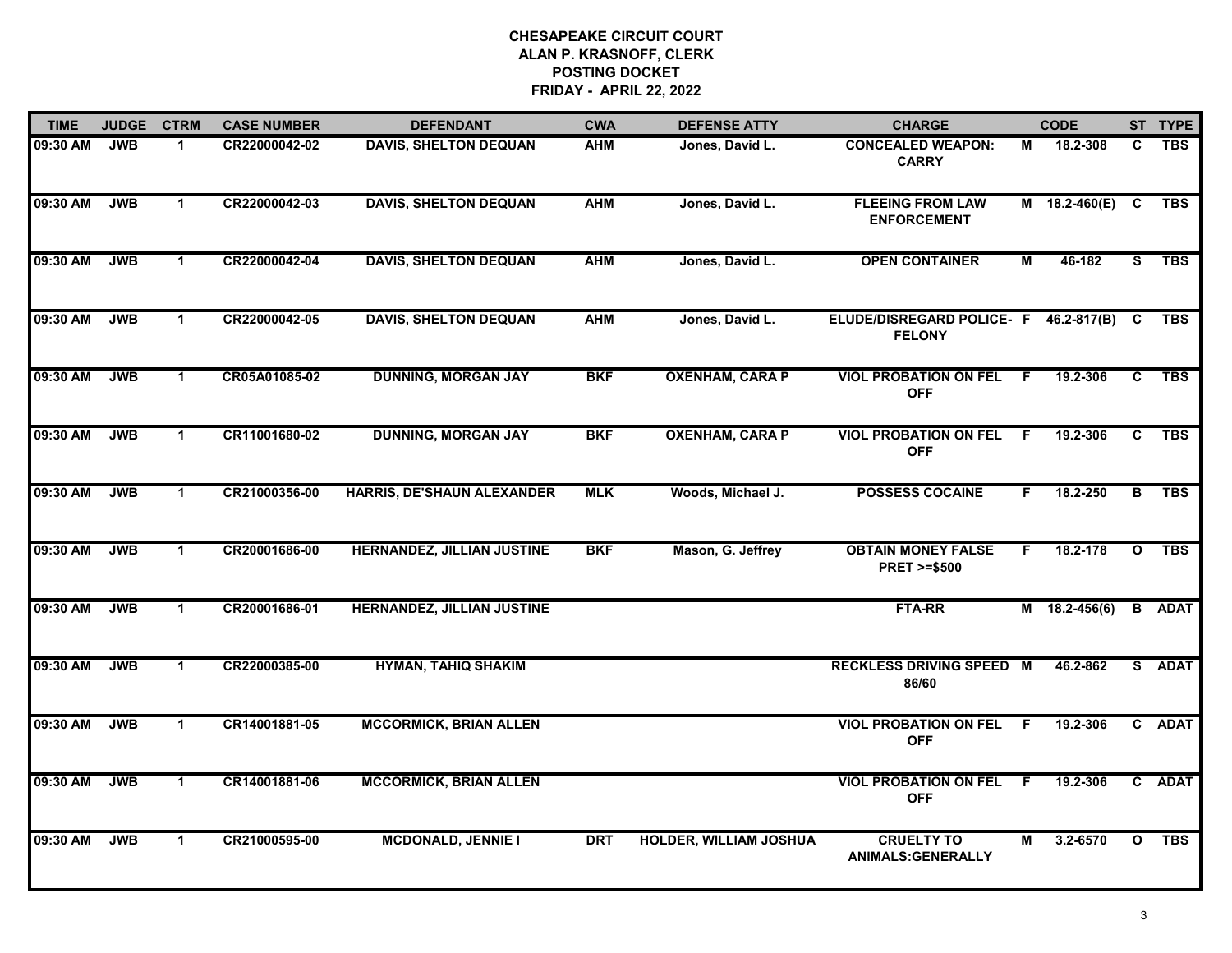| <b>TIME</b> | <b>JUDGE</b> | <b>CTRM</b>          | <b>CASE NUMBER</b> | <b>DEFENDANT</b>                  | <b>CWA</b> | <b>DEFENSE ATTY</b>           | <b>CHARGE</b>                                       |     | <b>CODE</b>       |              | ST TYPE     |
|-------------|--------------|----------------------|--------------------|-----------------------------------|------------|-------------------------------|-----------------------------------------------------|-----|-------------------|--------------|-------------|
| 09:30 AM    | <b>JWB</b>   | $\blacktriangleleft$ | CR22000042-02      | <b>DAVIS, SHELTON DEQUAN</b>      | <b>AHM</b> | Jones, David L.               | <b>CONCEALED WEAPON:</b><br><b>CARRY</b>            | М   | 18.2-308          | C.           | <b>TBS</b>  |
| 09:30 AM    | <b>JWB</b>   | $\mathbf{1}$         | CR22000042-03      | <b>DAVIS, SHELTON DEQUAN</b>      | <b>AHM</b> | Jones, David L.               | <b>FLEEING FROM LAW</b><br><b>ENFORCEMENT</b>       |     | M $18.2-460(E)$ C |              | <b>TBS</b>  |
| 09:30 AM    | <b>JWB</b>   | $\mathbf 1$          | CR22000042-04      | <b>DAVIS, SHELTON DEQUAN</b>      | <b>AHM</b> | Jones, David L.               | <b>OPEN CONTAINER</b>                               | М   | 46-182            | S            | <b>TBS</b>  |
| 09:30 AM    | <b>JWB</b>   | $\mathbf 1$          | CR22000042-05      | <b>DAVIS, SHELTON DEQUAN</b>      | <b>AHM</b> | Jones, David L.               | ELUDE/DISREGARD POLICE- F<br><b>FELONY</b>          |     | 46.2-817(B)       | C            | <b>TBS</b>  |
| 09:30 AM    | <b>JWB</b>   | $\mathbf{1}$         | CR05A01085-02      | <b>DUNNING, MORGAN JAY</b>        | <b>BKF</b> | <b>OXENHAM, CARA P</b>        | <b>VIOL PROBATION ON FEL</b><br><b>OFF</b>          | F   | 19.2-306          | C            | <b>TBS</b>  |
| 09:30 AM    | <b>JWB</b>   | $\mathbf{1}$         | CR11001680-02      | <b>DUNNING, MORGAN JAY</b>        | <b>BKF</b> | <b>OXENHAM, CARA P</b>        | <b>VIOL PROBATION ON FEL</b><br><b>OFF</b>          | F.  | 19.2-306          | C            | <b>TBS</b>  |
| 09:30 AM    | <b>JWB</b>   | $\mathbf 1$          | CR21000356-00      | HARRIS, DE'SHAUN ALEXANDER        | <b>MLK</b> | Woods, Michael J.             | <b>POSSESS COCAINE</b>                              | F.  | 18.2-250          | B            | <b>TBS</b>  |
| 09:30 AM    | <b>JWB</b>   | $\mathbf{1}$         | CR20001686-00      | <b>HERNANDEZ, JILLIAN JUSTINE</b> | <b>BKF</b> | Mason, G. Jeffrey             | <b>OBTAIN MONEY FALSE</b><br><b>PRET &gt;=\$500</b> | F.  | 18.2-178          | $\mathbf{o}$ | <b>TBS</b>  |
| 09:30 AM    | <b>JWB</b>   | $\blacktriangleleft$ | CR20001686-01      | HERNANDEZ, JILLIAN JUSTINE        |            |                               | <b>FTA-RR</b>                                       |     | $M$ 18.2-456(6)   | B            | <b>ADAT</b> |
| 09:30 AM    | <b>JWB</b>   | $\mathbf 1$          | CR22000385-00      | <b>HYMAN, TAHIQ SHAKIM</b>        |            |                               | <b>RECKLESS DRIVING SPEED M</b><br>86/60            |     | 46.2-862          |              | S ADAT      |
| 09:30 AM    | <b>JWB</b>   | $\mathbf 1$          | CR14001881-05      | <b>MCCORMICK, BRIAN ALLEN</b>     |            |                               | <b>VIOL PROBATION ON FEL</b><br><b>OFF</b>          | - F | 19.2-306          |              | C ADAT      |
| 09:30 AM    | <b>JWB</b>   | $\overline{1}$       | CR14001881-06      | <b>MCCORMICK, BRIAN ALLEN</b>     |            |                               | <b>VIOL PROBATION ON FEL</b><br><b>OFF</b>          | -F  | 19.2-306          |              | C ADAT      |
| 09:30 AM    | <b>JWB</b>   | $\mathbf 1$          | CR21000595-00      | <b>MCDONALD, JENNIE I</b>         | <b>DRT</b> | <b>HOLDER, WILLIAM JOSHUA</b> | <b>CRUELTY TO</b><br><b>ANIMALS:GENERALLY</b>       | M   | 3.2-6570          | $\mathbf{o}$ | <b>TBS</b>  |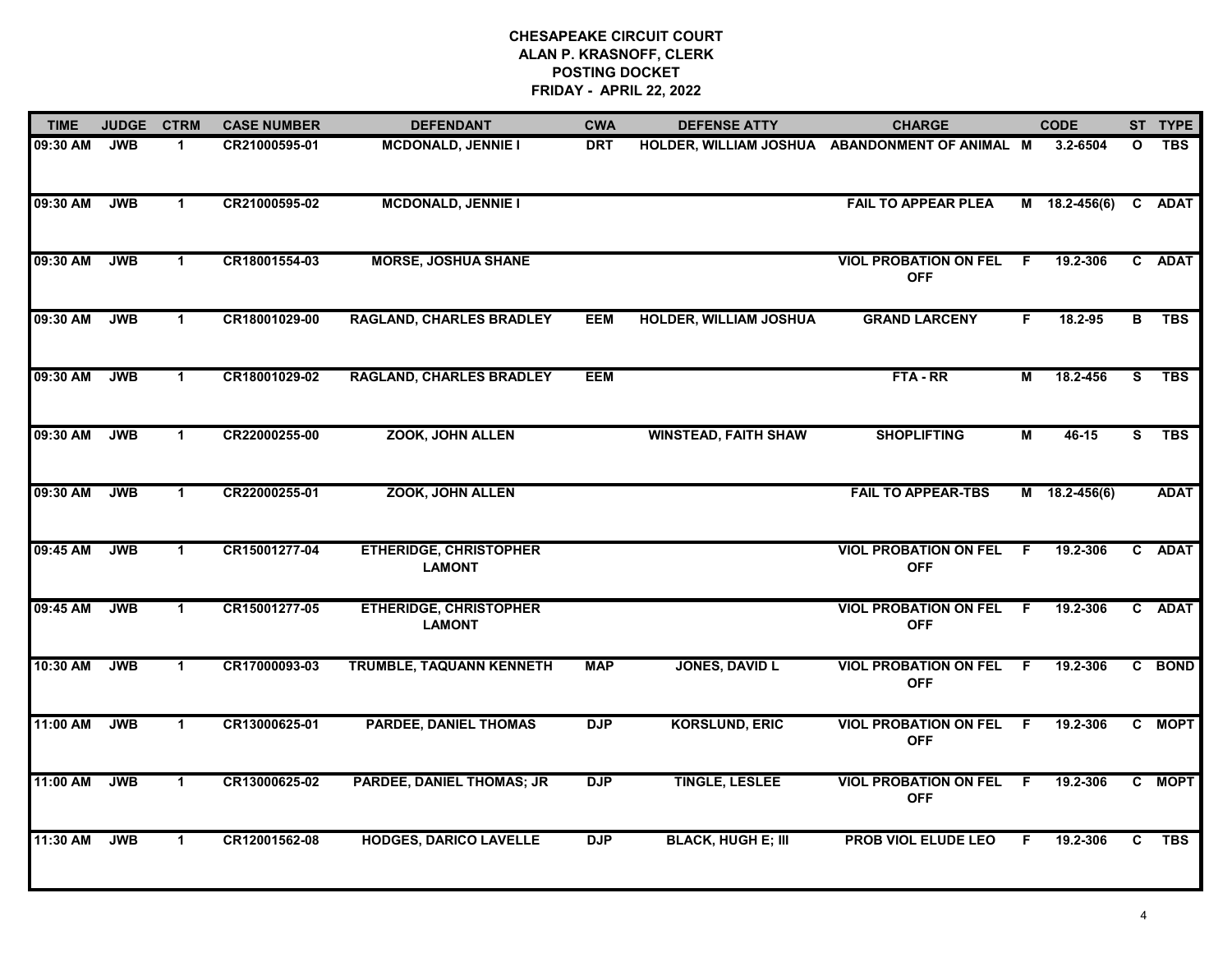| <b>TIME</b> | <b>JUDGE</b> | <b>CTRM</b>  | <b>CASE NUMBER</b> | <b>DEFENDANT</b>                               | <b>CWA</b> | <b>DEFENSE ATTY</b>           | <b>CHARGE</b>                                  |                | <b>CODE</b>     |              | ST TYPE     |
|-------------|--------------|--------------|--------------------|------------------------------------------------|------------|-------------------------------|------------------------------------------------|----------------|-----------------|--------------|-------------|
| 09:30 AM    | <b>JWB</b>   | $\mathbf 1$  | CR21000595-01      | <b>MCDONALD, JENNIE I</b>                      | <b>DRT</b> |                               | HOLDER, WILLIAM JOSHUA ABANDONMENT OF ANIMAL M |                | 3.2-6504        | $\mathbf{o}$ | <b>TBS</b>  |
| 09:30 AM    | <b>JWB</b>   | $\mathbf{1}$ | CR21000595-02      | <b>MCDONALD, JENNIE I</b>                      |            |                               | <b>FAIL TO APPEAR PLEA</b>                     |                | $M$ 18.2-456(6) | $\mathbf{c}$ | <b>ADAT</b> |
| 09:30 AM    | <b>JWB</b>   | $\mathbf{1}$ | CR18001554-03      | <b>MORSE, JOSHUA SHANE</b>                     |            |                               | <b>VIOL PROBATION ON FEL</b><br><b>OFF</b>     | F.             | 19.2-306        |              | C ADAT      |
| 09:30 AM    | <b>JWB</b>   | $\mathbf 1$  | CR18001029-00      | <b>RAGLAND, CHARLES BRADLEY</b>                | <b>EEM</b> | <b>HOLDER, WILLIAM JOSHUA</b> | <b>GRAND LARCENY</b>                           | F.             | 18.2-95         | В            | <b>TBS</b>  |
| 09:30 AM    | <b>JWB</b>   | $\mathbf 1$  | CR18001029-02      | <b>RAGLAND, CHARLES BRADLEY</b>                | <b>EEM</b> |                               | FTA-RR                                         | М              | 18.2-456        | S            | <b>TBS</b>  |
| 09:30 AM    | <b>JWB</b>   | $\mathbf 1$  | CR22000255-00      | ZOOK, JOHN ALLEN                               |            | <b>WINSTEAD, FAITH SHAW</b>   | <b>SHOPLIFTING</b>                             | Μ              | $46 - 15$       | S.           | <b>TBS</b>  |
| 09:30 AM    | <b>JWB</b>   | $\mathbf 1$  | CR22000255-01      | <b>ZOOK, JOHN ALLEN</b>                        |            |                               | <b>FAIL TO APPEAR-TBS</b>                      |                | $M$ 18.2-456(6) |              | <b>ADAT</b> |
| 09:45 AM    | <b>JWB</b>   | $\mathbf{1}$ | CR15001277-04      | <b>ETHERIDGE, CHRISTOPHER</b><br><b>LAMONT</b> |            |                               | <b>VIOL PROBATION ON FEL</b><br><b>OFF</b>     | F.             | 19.2-306        | $\mathbf{c}$ | <b>ADAT</b> |
| 09:45 AM    | <b>JWB</b>   | $\mathbf{1}$ | CR15001277-05      | <b>ETHERIDGE, CHRISTOPHER</b><br><b>LAMONT</b> |            |                               | <b>VIOL PROBATION ON FEL</b><br><b>OFF</b>     | - F            | 19.2-306        |              | C ADAT      |
| 10:30 AM    | <b>JWB</b>   | $\mathbf 1$  | CR17000093-03      | TRUMBLE, TAQUANN KENNETH                       | <b>MAP</b> | <b>JONES, DAVID L</b>         | <b>VIOL PROBATION ON FEL</b><br><b>OFF</b>     | - F            | 19.2-306        |              | C BOND      |
| 11:00 AM    | <b>JWB</b>   | $\mathbf 1$  | CR13000625-01      | <b>PARDEE, DANIEL THOMAS</b>                   | <b>DJP</b> | <b>KORSLUND, ERIC</b>         | <b>VIOL PROBATION ON FEL</b><br><b>OFF</b>     | - F            | 19.2-306        |              | C MOPT      |
| 11:00 AM    | <b>JWB</b>   | $\mathbf 1$  | CR13000625-02      | <b>PARDEE, DANIEL THOMAS; JR</b>               | <b>DJP</b> | <b>TINGLE, LESLEE</b>         | <b>VIOL PROBATION ON FEL</b><br><b>OFF</b>     | $\overline{F}$ | 19.2-306        |              | C MOPT      |
| 11:30 AM    | <b>JWB</b>   | $\mathbf{1}$ | CR12001562-08      | <b>HODGES, DARICO LAVELLE</b>                  | <b>DJP</b> | <b>BLACK, HUGH E; III</b>     | <b>PROB VIOL ELUDE LEO</b>                     | F.             | 19.2-306        | C            | <b>TBS</b>  |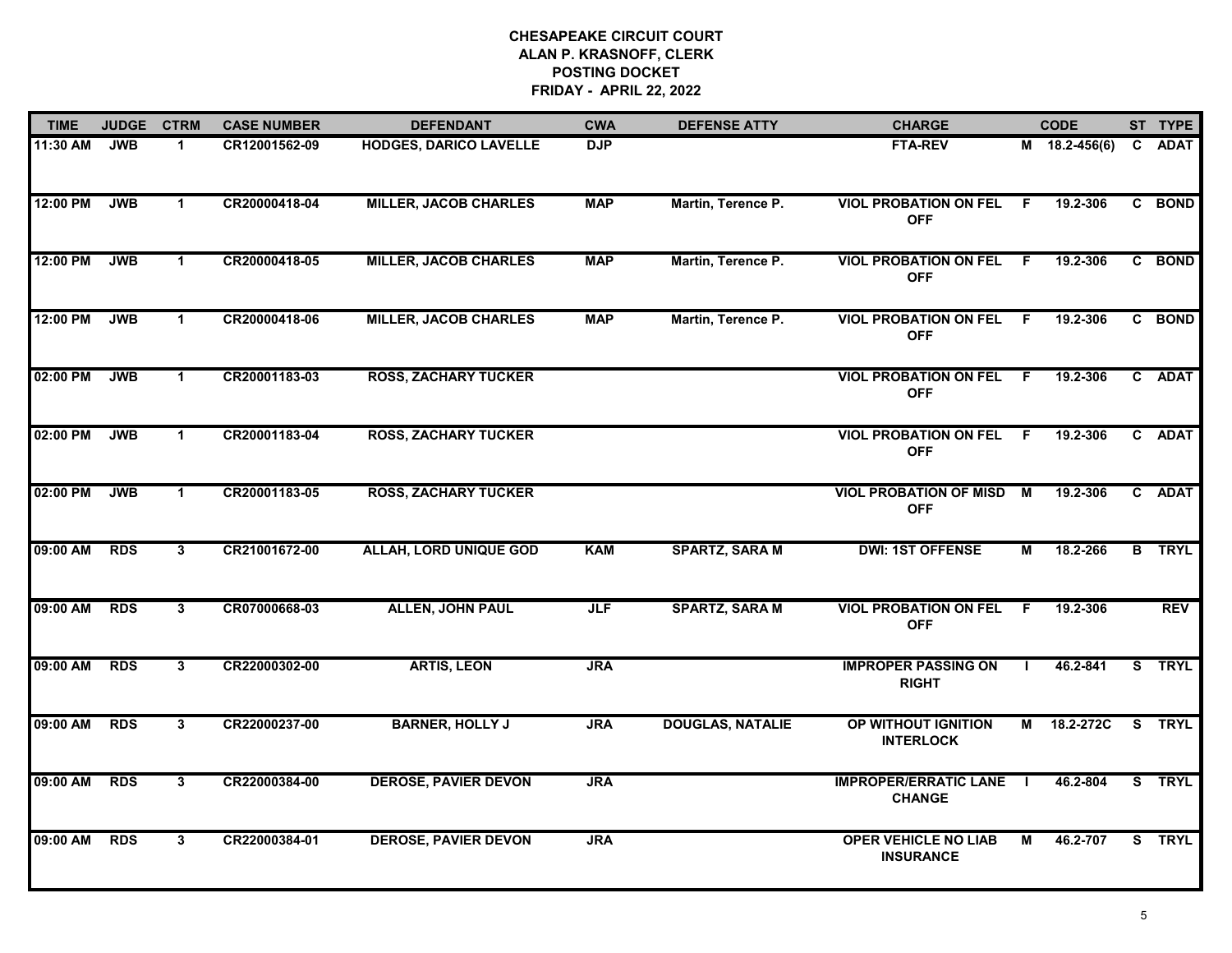| <b>TIME</b> | <b>JUDGE</b> | <b>CTRM</b>    | <b>CASE NUMBER</b> | <b>DEFENDANT</b>              | <b>CWA</b> | <b>DEFENSE ATTY</b>     | <b>CHARGE</b>                                   |     | <b>CODE</b>     |    | ST TYPE       |
|-------------|--------------|----------------|--------------------|-------------------------------|------------|-------------------------|-------------------------------------------------|-----|-----------------|----|---------------|
| 11:30 AM    | <b>JWB</b>   | 1.             | CR12001562-09      | <b>HODGES, DARICO LAVELLE</b> | <b>DJP</b> |                         | <b>FTA-REV</b>                                  |     | $M$ 18.2-456(6) |    | C ADAT        |
| 12:00 PM    | <b>JWB</b>   | $\mathbf{1}$   | CR20000418-04      | <b>MILLER, JACOB CHARLES</b>  | <b>MAP</b> | Martin, Terence P.      | <b>VIOL PROBATION ON FEL F</b><br><b>OFF</b>    |     | 19.2-306        |    | C BOND        |
| 12:00 PM    | <b>JWB</b>   | $\mathbf{1}$   | CR20000418-05      | <b>MILLER, JACOB CHARLES</b>  | <b>MAP</b> | Martin, Terence P.      | <b>VIOL PROBATION ON FEL</b><br><b>OFF</b>      | - F | 19.2-306        |    | C BOND        |
| 12:00 PM    | <b>JWB</b>   | 1              | CR20000418-06      | <b>MILLER, JACOB CHARLES</b>  | <b>MAP</b> | Martin, Terence P.      | <b>VIOL PROBATION ON FEL</b><br><b>OFF</b>      | - F | 19.2-306        |    | C BOND        |
| 02:00 PM    | <b>JWB</b>   | $\mathbf 1$    | CR20001183-03      | <b>ROSS, ZACHARY TUCKER</b>   |            |                         | <b>VIOL PROBATION ON FEL</b><br><b>OFF</b>      | F.  | 19.2-306        |    | C ADAT        |
| 02:00 PM    | <b>JWB</b>   | $\mathbf 1$    | CR20001183-04      | <b>ROSS, ZACHARY TUCKER</b>   |            |                         | <b>VIOL PROBATION ON FEL</b><br><b>OFF</b>      | - F | 19.2-306        |    | C ADAT        |
| 02:00 PM    | <b>JWB</b>   | $\mathbf{1}$   | CR20001183-05      | <b>ROSS, ZACHARY TUCKER</b>   |            |                         | <b>VIOL PROBATION OF MISD M</b><br><b>OFF</b>   |     | 19.2-306        |    | C ADAT        |
| 09:00 AM    | <b>RDS</b>   | $3\phantom{a}$ | CR21001672-00      | <b>ALLAH, LORD UNIQUE GOD</b> | <b>KAM</b> | <b>SPARTZ, SARA M</b>   | <b>DWI: 1ST OFFENSE</b>                         | М   | 18.2-266        |    | <b>B</b> TRYL |
| 09:00 AM    | <b>RDS</b>   | 3              | CR07000668-03      | <b>ALLEN, JOHN PAUL</b>       | <b>JLF</b> | <b>SPARTZ, SARA M</b>   | <b>VIOL PROBATION ON FEL</b><br><b>OFF</b>      | -F  | 19.2-306        |    | <b>REV</b>    |
| 09:00 AM    | <b>RDS</b>   | $\mathbf{3}$   | CR22000302-00      | <b>ARTIS, LEON</b>            | <b>JRA</b> |                         | <b>IMPROPER PASSING ON</b><br><b>RIGHT</b>      | J.  | 46.2-841        |    | S TRYL        |
| 09:00 AM    | <b>RDS</b>   | 3              | CR22000237-00      | <b>BARNER, HOLLY J</b>        | <b>JRA</b> | <b>DOUGLAS, NATALIE</b> | OP WITHOUT IGNITION<br><b>INTERLOCK</b>         | М   | 18.2-272C       | S. | <b>TRYL</b>   |
| 09:00 AM    | <b>RDS</b>   | $\overline{3}$ | CR22000384-00      | <b>DEROSE, PAVIER DEVON</b>   | <b>JRA</b> |                         | <b>IMPROPER/ERRATIC LANE</b><br><b>CHANGE</b>   | - 1 | 46.2-804        |    | S TRYL        |
| 09:00 AM    | <b>RDS</b>   | $\mathbf{3}$   | CR22000384-01      | <b>DEROSE, PAVIER DEVON</b>   | <b>JRA</b> |                         | <b>OPER VEHICLE NO LIAB</b><br><b>INSURANCE</b> | M   | 46.2-707        |    | S TRYL        |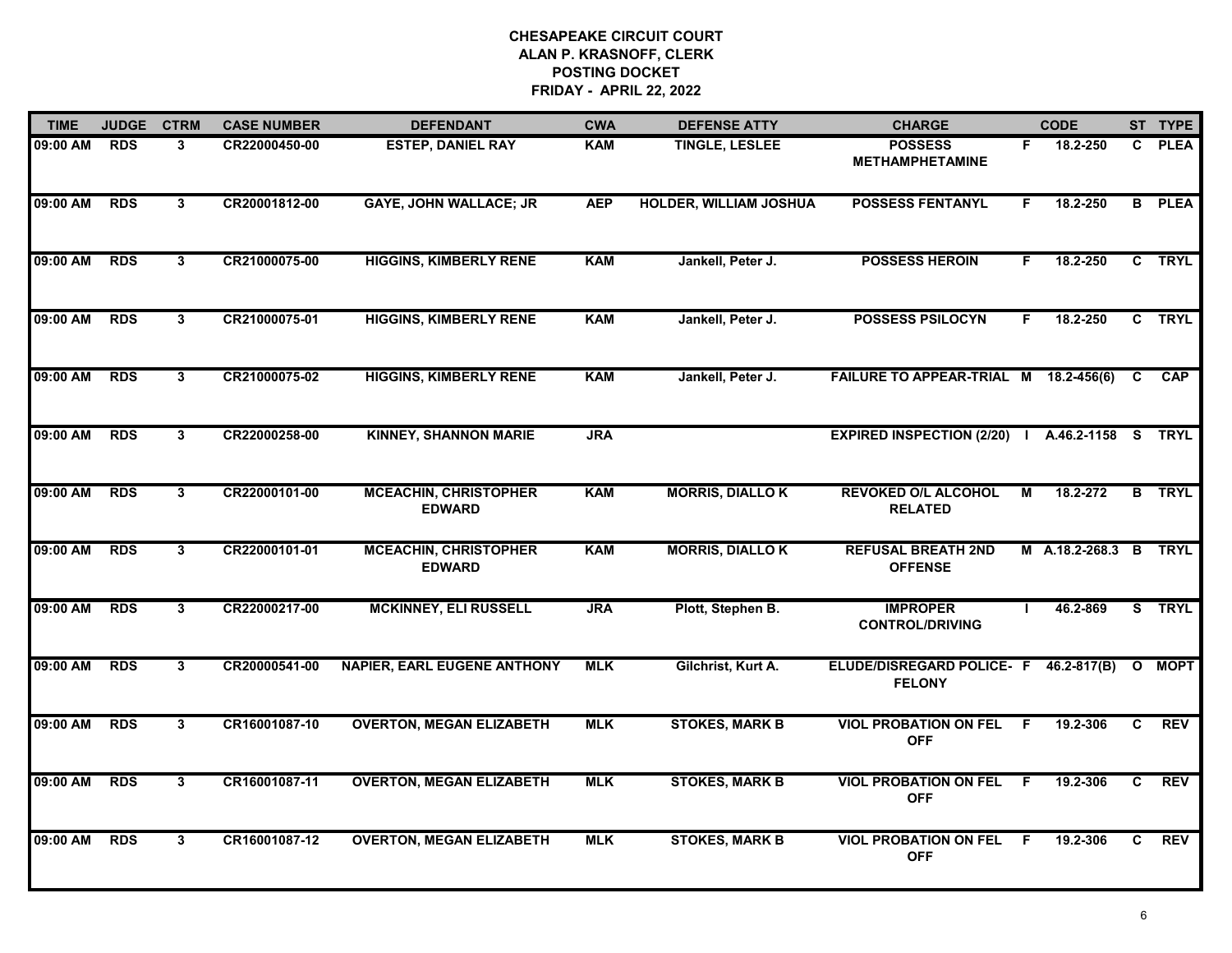| <b>TIME</b> | <b>JUDGE</b> | <b>CTRM</b>    | <b>CASE NUMBER</b> | <b>DEFENDANT</b>                              | <b>CWA</b> | <b>DEFENSE ATTY</b>           | <b>CHARGE</b>                                  |                | <b>CODE</b>           |              | ST TYPE       |
|-------------|--------------|----------------|--------------------|-----------------------------------------------|------------|-------------------------------|------------------------------------------------|----------------|-----------------------|--------------|---------------|
| 09:00 AM    | <b>RDS</b>   | 3              | CR22000450-00      | <b>ESTEP, DANIEL RAY</b>                      | <b>KAM</b> | <b>TINGLE, LESLEE</b>         | <b>POSSESS</b><br><b>METHAMPHETAMINE</b>       | F.             | 18.2-250              |              | C PLEA        |
| 09:00 AM    | <b>RDS</b>   | $\mathbf{3}$   | CR20001812-00      | <b>GAYE, JOHN WALLACE; JR</b>                 | <b>AEP</b> | <b>HOLDER, WILLIAM JOSHUA</b> | <b>POSSESS FENTANYL</b>                        | F              | 18.2-250              |              | <b>B</b> PLEA |
| 09:00 AM    | <b>RDS</b>   | 3 <sup>1</sup> | CR21000075-00      | <b>HIGGINS, KIMBERLY RENE</b>                 | <b>KAM</b> | Jankell, Peter J.             | <b>POSSESS HEROIN</b>                          | F.             | 18.2-250              |              | C TRYL        |
| 09:00 AM    | <b>RDS</b>   | 3              | CR21000075-01      | <b>HIGGINS, KIMBERLY RENE</b>                 | <b>KAM</b> | Jankell, Peter J.             | <b>POSSESS PSILOCYN</b>                        | F.             | 18.2-250              |              | C TRYL        |
| 09:00 AM    | <b>RDS</b>   | 3              | CR21000075-02      | <b>HIGGINS, KIMBERLY RENE</b>                 | <b>KAM</b> | Jankell, Peter J.             | FAILURE TO APPEAR-TRIAL M 18.2-456(6)          |                |                       | C.           | CAP           |
| 09:00 AM    | <b>RDS</b>   | $\mathbf{3}$   | CR22000258-00      | <b>KINNEY, SHANNON MARIE</b>                  | <b>JRA</b> |                               | EXPIRED INSPECTION (2/20)   A.46.2-1158 S TRYL |                |                       |              |               |
| 09:00 AM    | <b>RDS</b>   | 3              | CR22000101-00      | <b>MCEACHIN, CHRISTOPHER</b><br><b>EDWARD</b> | <b>KAM</b> | <b>MORRIS, DIALLOK</b>        | <b>REVOKED O/L ALCOHOL</b><br><b>RELATED</b>   | $\overline{M}$ | 18.2-272              |              | <b>B</b> TRYL |
| 09:00 AM    | <b>RDS</b>   | $\mathbf{3}$   | CR22000101-01      | <b>MCEACHIN, CHRISTOPHER</b><br><b>EDWARD</b> | <b>KAM</b> | <b>MORRIS, DIALLOK</b>        | <b>REFUSAL BREATH 2ND</b><br><b>OFFENSE</b>    |                | M A.18.2-268.3 B TRYL |              |               |
| 09:00 AM    | <b>RDS</b>   | $\mathbf{3}$   | CR22000217-00      | <b>MCKINNEY, ELI RUSSELL</b>                  | <b>JRA</b> | Plott, Stephen B.             | <b>IMPROPER</b><br><b>CONTROL/DRIVING</b>      |                | 46.2-869              |              | S TRYL        |
| 09:00 AM    | <b>RDS</b>   | 3              | CR20000541-00      | <b>NAPIER, EARL EUGENE ANTHONY</b>            | <b>MLK</b> | Gilchrist, Kurt A.            | ELUDE/DISREGARD POLICE- F<br><b>FELONY</b>     |                | 46.2-817(B)           | $\mathbf{o}$ | <b>MOPT</b>   |
| 09:00 AM    | <b>RDS</b>   | 3              | CR16001087-10      | <b>OVERTON, MEGAN ELIZABETH</b>               | <b>MLK</b> | <b>STOKES, MARK B</b>         | <b>VIOL PROBATION ON FEL</b><br><b>OFF</b>     | -F             | 19.2-306              | C            | <b>REV</b>    |
| 09:00 AM    | <b>RDS</b>   | $\overline{3}$ | CR16001087-11      | <b>OVERTON, MEGAN ELIZABETH</b>               | <b>MLK</b> | <b>STOKES, MARK B</b>         | <b>VIOL PROBATION ON FEL</b><br><b>OFF</b>     | F.             | 19.2-306              | C            | <b>REV</b>    |
| 09:00 AM    | <b>RDS</b>   | 3              | CR16001087-12      | <b>OVERTON, MEGAN ELIZABETH</b>               | <b>MLK</b> | <b>STOKES, MARK B</b>         | <b>VIOL PROBATION ON FEL</b><br><b>OFF</b>     | F.             | 19.2-306              | C.           | <b>REV</b>    |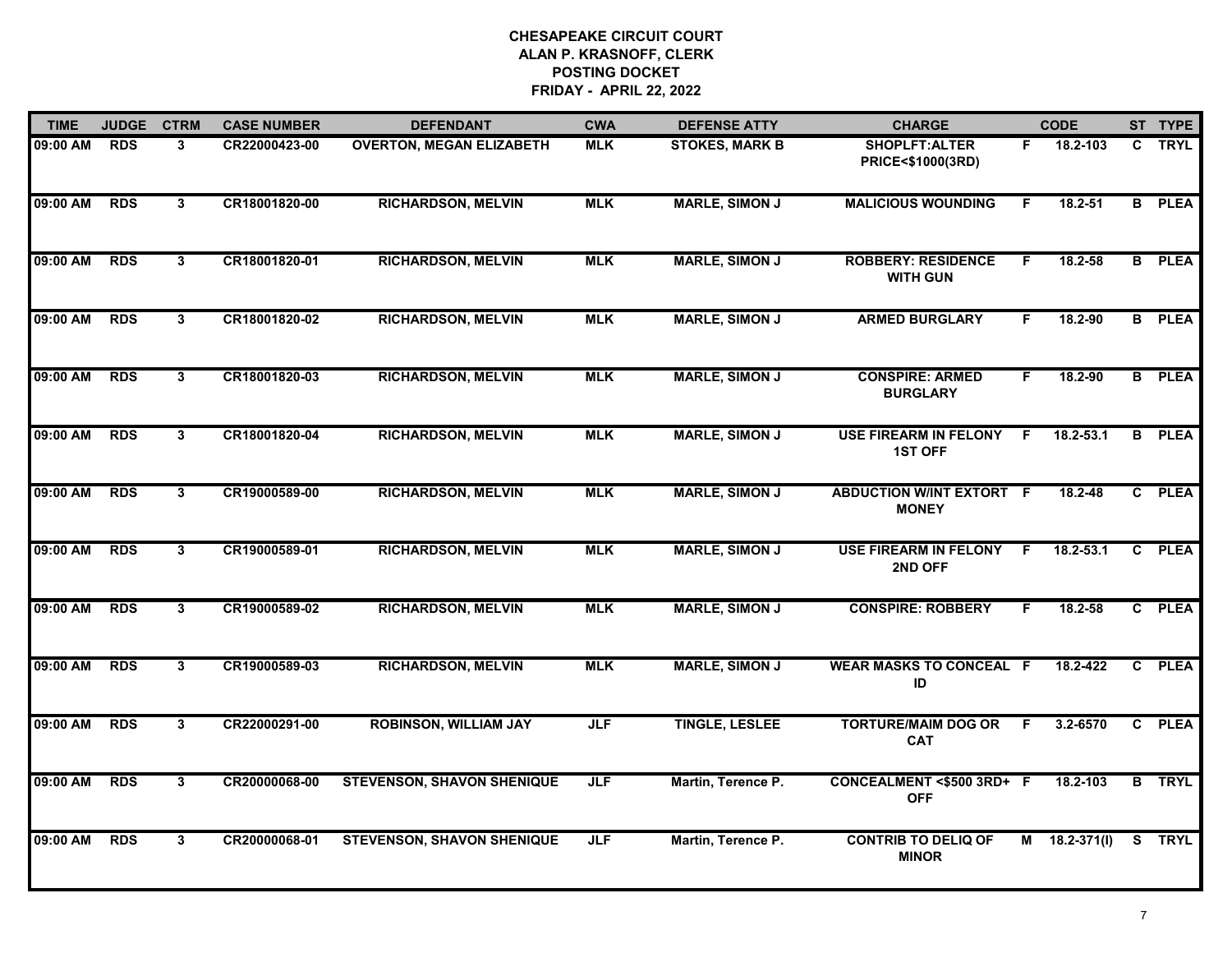| <b>TIME</b> | <b>JUDGE</b> | <b>CTRM</b>    | <b>CASE NUMBER</b> | <b>DEFENDANT</b>                  | <b>CWA</b> | <b>DEFENSE ATTY</b>   | <b>CHARGE</b>                                   |    | <b>CODE</b>         |              | ST TYPE       |
|-------------|--------------|----------------|--------------------|-----------------------------------|------------|-----------------------|-------------------------------------------------|----|---------------------|--------------|---------------|
| 09:00 AM    | <b>RDS</b>   | $\mathbf{3}$   | CR22000423-00      | <b>OVERTON, MEGAN ELIZABETH</b>   | <b>MLK</b> | <b>STOKES, MARK B</b> | SHOPLFT:ALTER<br>PRICE<\$1000(3RD)              | F. | 18.2-103            | $\mathbf{C}$ | <b>TRYL</b>   |
| 09:00 AM    | <b>RDS</b>   | 3              | CR18001820-00      | <b>RICHARDSON, MELVIN</b>         | <b>MLK</b> | <b>MARLE, SIMON J</b> | <b>MALICIOUS WOUNDING</b>                       | F. | 18.2-51             |              | <b>B</b> PLEA |
| 09:00 AM    | <b>RDS</b>   | $\overline{3}$ | CR18001820-01      | <b>RICHARDSON, MELVIN</b>         | <b>MLK</b> | <b>MARLE, SIMON J</b> | <b>ROBBERY: RESIDENCE</b><br><b>WITH GUN</b>    | F  | 18.2-58             |              | <b>B</b> PLEA |
| 09:00 AM    | <b>RDS</b>   | 3              | CR18001820-02      | <b>RICHARDSON, MELVIN</b>         | <b>MLK</b> | <b>MARLE, SIMON J</b> | <b>ARMED BURGLARY</b>                           | F  | 18.2-90             |              | <b>B</b> PLEA |
| 09:00 AM    | <b>RDS</b>   | 3              | CR18001820-03      | <b>RICHARDSON, MELVIN</b>         | <b>MLK</b> | <b>MARLE, SIMON J</b> | <b>CONSPIRE: ARMED</b><br><b>BURGLARY</b>       | F. | 18.2-90             |              | <b>B</b> PLEA |
| 09:00 AM    | <b>RDS</b>   | 3              | CR18001820-04      | <b>RICHARDSON, MELVIN</b>         | <b>MLK</b> | <b>MARLE, SIMON J</b> | <b>USE FIREARM IN FELONY</b><br><b>1ST OFF</b>  | F. | 18.2-53.1           |              | <b>B</b> PLEA |
| 09:00 AM    | <b>RDS</b>   | 3              | CR19000589-00      | <b>RICHARDSON, MELVIN</b>         | <b>MLK</b> | <b>MARLE, SIMON J</b> | <b>ABDUCTION W/INT EXTORT F</b><br><b>MONEY</b> |    | $18.2 - 48$         |              | C PLEA        |
| 09:00 AM    | <b>RDS</b>   | 3              | CR19000589-01      | <b>RICHARDSON, MELVIN</b>         | <b>MLK</b> | <b>MARLE, SIMON J</b> | <b>USE FIREARM IN FELONY</b><br>2ND OFF         | .F | 18.2-53.1           | $\mathbf{c}$ | <b>PLEA</b>   |
| 09:00 AM    | <b>RDS</b>   | 3              | CR19000589-02      | <b>RICHARDSON, MELVIN</b>         | <b>MLK</b> | <b>MARLE, SIMON J</b> | <b>CONSPIRE: ROBBERY</b>                        | F  | 18.2-58             |              | C PLEA        |
| 09:00 AM    | <b>RDS</b>   | $\overline{3}$ | CR19000589-03      | <b>RICHARDSON, MELVIN</b>         | <b>MLK</b> | <b>MARLE, SIMON J</b> | <b>WEAR MASKS TO CONCEAL F</b><br>ID            |    | 18.2-422            |              | C PLEA        |
| 09:00 AM    | <b>RDS</b>   | 3              | CR22000291-00      | <b>ROBINSON, WILLIAM JAY</b>      | <b>JLF</b> | <b>TINGLE, LESLEE</b> | <b>TORTURE/MAIM DOG OR</b><br><b>CAT</b>        | F. | $3.2 - 6570$        |              | C PLEA        |
| 09:00 AM    | <b>RDS</b>   | 3              | CR20000068-00      | <b>STEVENSON, SHAVON SHENIQUE</b> | <b>JLF</b> | Martin, Terence P.    | CONCEALMENT <\$500 3RD+ F<br><b>OFF</b>         |    | 18.2-103            |              | <b>B</b> TRYL |
| 09:00 AM    | <b>RDS</b>   | 3              | CR20000068-01      | <b>STEVENSON, SHAVON SHENIQUE</b> | <b>JLF</b> | Martin, Terence P.    | <b>CONTRIB TO DELIQ OF</b><br><b>MINOR</b>      |    | $M = 18.2 - 371(1)$ |              | S TRYL        |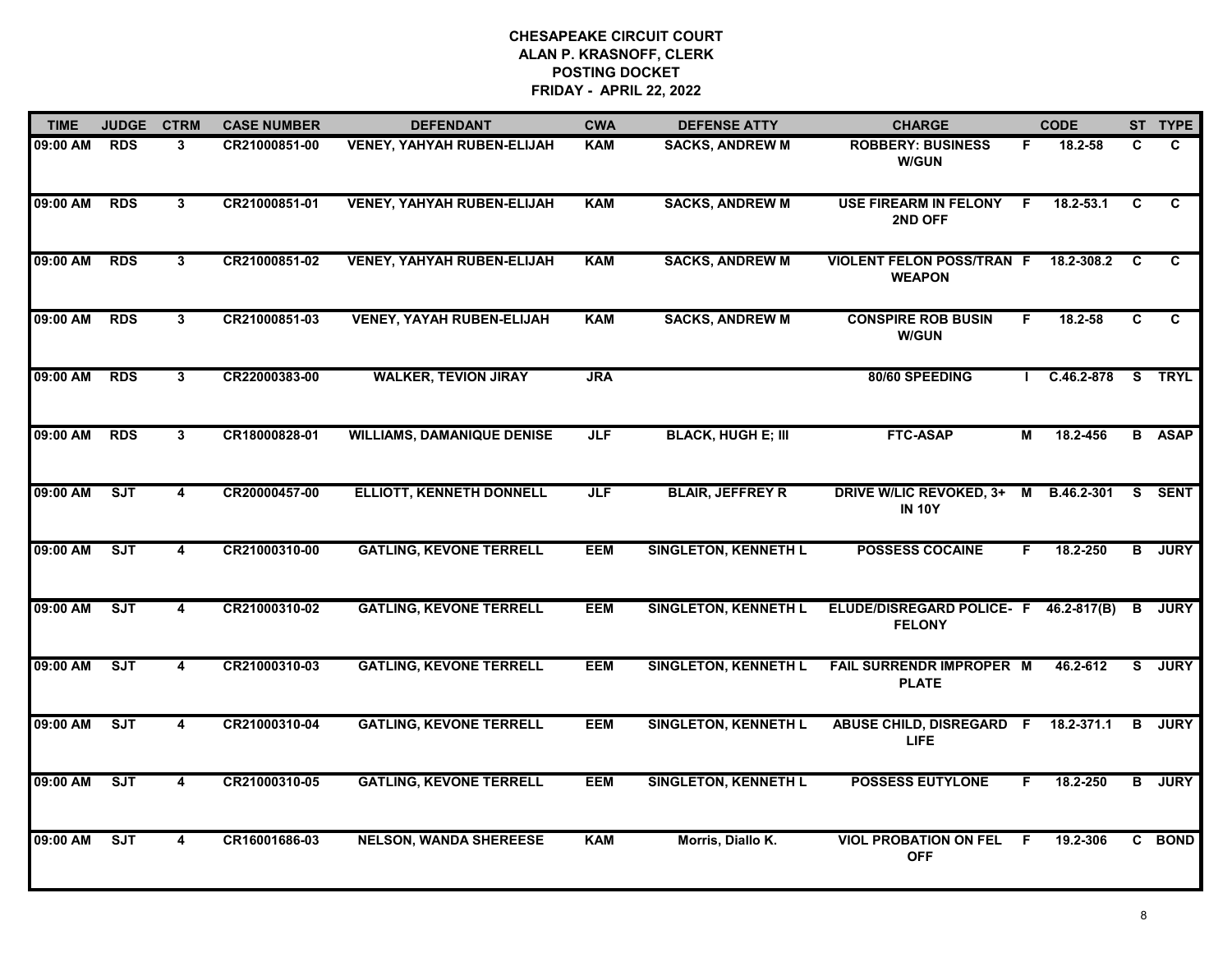| <b>TIME</b> | <b>JUDGE</b> | <b>CTRM</b>             | <b>CASE NUMBER</b> | <b>DEFENDANT</b>                  | <b>CWA</b> | <b>DEFENSE ATTY</b>         | <b>CHARGE</b>                                     |                | <b>CODE</b> |                | ST TYPE       |
|-------------|--------------|-------------------------|--------------------|-----------------------------------|------------|-----------------------------|---------------------------------------------------|----------------|-------------|----------------|---------------|
| 09:00 AM    | <b>RDS</b>   | 3                       | CR21000851-00      | <b>VENEY, YAHYAH RUBEN-ELIJAH</b> | <b>KAM</b> | <b>SACKS, ANDREW M</b>      | <b>ROBBERY: BUSINESS</b><br><b>W/GUN</b>          | F.             | 18.2-58     | C.             | C.            |
| 09:00 AM    | <b>RDS</b>   | $\mathbf{3}$            | CR21000851-01      | <b>VENEY, YAHYAH RUBEN-ELIJAH</b> | <b>KAM</b> | <b>SACKS, ANDREW M</b>      | <b>USE FIREARM IN FELONY</b><br>2ND OFF           | -F             | 18.2-53.1   | C              | C.            |
| 09:00 AM    | <b>RDS</b>   | $\mathbf{3}$            | CR21000851-02      | <b>VENEY, YAHYAH RUBEN-ELIJAH</b> | <b>KAM</b> | <b>SACKS, ANDREW M</b>      | <b>VIOLENT FELON POSS/TRAN F</b><br><b>WEAPON</b> |                | 18.2-308.2  | <b>C</b>       | C             |
| 09:00 AM    | <b>RDS</b>   | 3                       | CR21000851-03      | <b>VENEY, YAYAH RUBEN-ELIJAH</b>  | <b>KAM</b> | <b>SACKS, ANDREW M</b>      | <b>CONSPIRE ROB BUSIN</b><br><b>W/GUN</b>         | F.             | 18.2-58     | C.             | C             |
| 09:00 AM    | <b>RDS</b>   | 3                       | CR22000383-00      | <b>WALKER, TEVION JIRAY</b>       | <b>JRA</b> |                             | 80/60 SPEEDING                                    |                | C.46.2-878  |                | S TRYL        |
| 09:00 AM    | <b>RDS</b>   | 3                       | CR18000828-01      | <b>WILLIAMS, DAMANIQUE DENISE</b> | <b>JLF</b> | <b>BLACK, HUGH E; III</b>   | <b>FTC-ASAP</b>                                   | $\overline{M}$ | 18.2-456    |                | <b>B</b> ASAP |
| 09:00 AM    | ST           | $\overline{\mathbf{4}}$ | CR20000457-00      | <b>ELLIOTT, KENNETH DONNELL</b>   | JLF        | <b>BLAIR, JEFFREY R</b>     | <b>DRIVE W/LIC REVOKED, 3+</b><br><b>IN 10Y</b>   | $\blacksquare$ | B.46.2-301  | S.             | <b>SENT</b>   |
| 09:00 AM    | ST           | 4                       | CR21000310-00      | <b>GATLING, KEVONE TERRELL</b>    | <b>EEM</b> | <b>SINGLETON, KENNETH L</b> | <b>POSSESS COCAINE</b>                            | F.             | 18.2-250    | B              | <b>JURY</b>   |
| 09:00 AM    | <b>SJT</b>   | 4                       | CR21000310-02      | <b>GATLING, KEVONE TERRELL</b>    | <b>EEM</b> | <b>SINGLETON, KENNETH L</b> | ELUDE/DISREGARD POLICE- F<br><b>FELONY</b>        |                | 46.2-817(B) | B              | <b>JURY</b>   |
| 09:00 AM    | ST           | 4                       | CR21000310-03      | <b>GATLING, KEVONE TERRELL</b>    | <b>EEM</b> | <b>SINGLETON, KENNETH L</b> | <b>FAIL SURRENDR IMPROPER M</b><br><b>PLATE</b>   |                | 46.2-612    | s              | <b>JURY</b>   |
| 09:00 AM    | ST           | 4                       | CR21000310-04      | <b>GATLING, KEVONE TERRELL</b>    | <b>EEM</b> | <b>SINGLETON, KENNETH L</b> | <b>ABUSE CHILD, DISREGARD F</b><br><b>LIFE</b>    |                | 18.2-371.1  | в              | <b>JURY</b>   |
| 09:00 AM    | ST           | 4                       | CR21000310-05      | <b>GATLING, KEVONE TERRELL</b>    | <b>EEM</b> | <b>SINGLETON, KENNETH L</b> | <b>POSSESS EUTYLONE</b>                           | F.             | 18.2-250    | $\overline{B}$ | <b>JURY</b>   |
| 09:00 AM    | ST           | 4                       | CR16001686-03      | <b>NELSON, WANDA SHEREESE</b>     | <b>KAM</b> | Morris, Diallo K.           | <b>VIOL PROBATION ON FEL</b><br><b>OFF</b>        | F.             | 19.2-306    |                | C BOND        |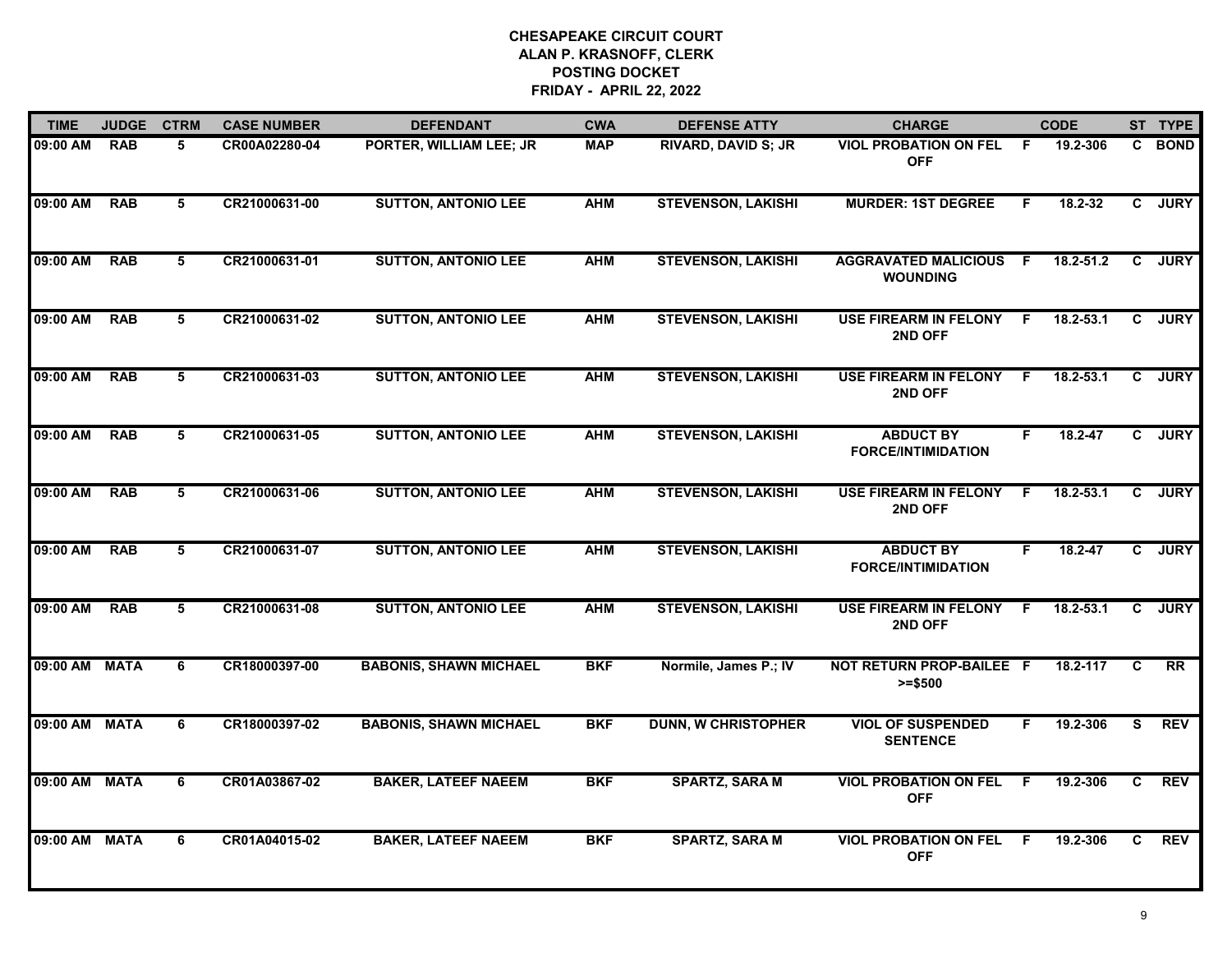| <b>TIME</b>   | <b>JUDGE</b> | <b>CTRM</b>    | <b>CASE NUMBER</b> | <b>DEFENDANT</b>              | <b>CWA</b> | <b>DEFENSE ATTY</b>        | <b>CHARGE</b>                                  |                | <b>CODE</b>   |                | ST TYPE     |
|---------------|--------------|----------------|--------------------|-------------------------------|------------|----------------------------|------------------------------------------------|----------------|---------------|----------------|-------------|
| 09:00 AM      | <b>RAB</b>   | 5              | CR00A02280-04      | PORTER, WILLIAM LEE; JR       | <b>MAP</b> | RIVARD, DAVID S; JR        | <b>VIOL PROBATION ON FEL F</b><br><b>OFF</b>   |                | 19.2-306      |                | C BOND      |
| 09:00 AM      | <b>RAB</b>   | 5              | CR21000631-00      | <b>SUTTON, ANTONIO LEE</b>    | <b>AHM</b> | <b>STEVENSON, LAKISHI</b>  | <b>MURDER: 1ST DEGREE</b>                      | F              | 18.2-32       | C              | <b>JURY</b> |
| 09:00 AM      | <b>RAB</b>   | 5              | CR21000631-01      | <b>SUTTON, ANTONIO LEE</b>    | <b>AHM</b> | <b>STEVENSON, LAKISHI</b>  | <b>AGGRAVATED MALICIOUS</b><br><b>WOUNDING</b> | -F             | $18.2 - 51.2$ | $\mathbf{c}$   | <b>JURY</b> |
| 09:00 AM      | <b>RAB</b>   | 5              | CR21000631-02      | <b>SUTTON, ANTONIO LEE</b>    | <b>AHM</b> | <b>STEVENSON, LAKISHI</b>  | <b>USE FIREARM IN FELONY</b><br>2ND OFF        | -F             | $18.2 - 53.1$ | $\mathbf{c}$   | <b>JURY</b> |
| 09:00 AM      | <b>RAB</b>   | 5              | CR21000631-03      | <b>SUTTON, ANTONIO LEE</b>    | <b>AHM</b> | <b>STEVENSON, LAKISHI</b>  | <b>USE FIREARM IN FELONY</b><br>2ND OFF        | F.             | 18.2-53.1     | $\mathbf{c}$   | <b>JURY</b> |
| 09:00 AM      | <b>RAB</b>   | 5              | CR21000631-05      | <b>SUTTON, ANTONIO LEE</b>    | <b>AHM</b> | <b>STEVENSON, LAKISHI</b>  | <b>ABDUCT BY</b><br><b>FORCE/INTIMIDATION</b>  | F.             | 18.2-47       | $\mathbf{c}$   | <b>JURY</b> |
| 09:00 AM      | <b>RAB</b>   | $\overline{5}$ | CR21000631-06      | <b>SUTTON, ANTONIO LEE</b>    | <b>AHM</b> | <b>STEVENSON, LAKISHI</b>  | <b>USE FIREARM IN FELONY</b><br>2ND OFF        | $\overline{F}$ | $18.2 - 53.1$ | $\overline{c}$ | <b>JURY</b> |
| 09:00 AM      | <b>RAB</b>   | 5              | CR21000631-07      | <b>SUTTON, ANTONIO LEE</b>    | <b>AHM</b> | <b>STEVENSON, LAKISHI</b>  | <b>ABDUCT BY</b><br><b>FORCE/INTIMIDATION</b>  | F.             | 18.2-47       | C.             | <b>JURY</b> |
| 09:00 AM      | <b>RAB</b>   | 5              | CR21000631-08      | <b>SUTTON, ANTONIO LEE</b>    | <b>AHM</b> | <b>STEVENSON, LAKISHI</b>  | <b>USE FIREARM IN FELONY</b><br>2ND OFF        | -F             | 18.2-53.1     | C.             | <b>JURY</b> |
| 09:00 AM MATA |              | 6              | CR18000397-00      | <b>BABONIS, SHAWN MICHAEL</b> | <b>BKF</b> | Normile, James P.; IV      | NOT RETURN PROP-BAILEE F<br>$>= $500$          |                | 18.2-117      | C              | <b>RR</b>   |
| 09:00 AM MATA |              | 6              | CR18000397-02      | <b>BABONIS, SHAWN MICHAEL</b> | <b>BKF</b> | <b>DUNN, W CHRISTOPHER</b> | <b>VIOL OF SUSPENDED</b><br><b>SENTENCE</b>    | F.             | 19.2-306      | S.             | <b>REV</b>  |
| 09:00 AM MATA |              | 6              | CR01A03867-02      | <b>BAKER, LATEEF NAEEM</b>    | <b>BKF</b> | <b>SPARTZ, SARA M</b>      | <b>VIOL PROBATION ON FEL</b><br><b>OFF</b>     | F.             | 19.2-306      | C              | <b>REV</b>  |
| 09:00 AM MATA |              | 6              | CR01A04015-02      | <b>BAKER, LATEEF NAEEM</b>    | <b>BKF</b> | <b>SPARTZ, SARA M</b>      | <b>VIOL PROBATION ON FEL</b><br><b>OFF</b>     | -F             | 19.2-306      | C.             | <b>REV</b>  |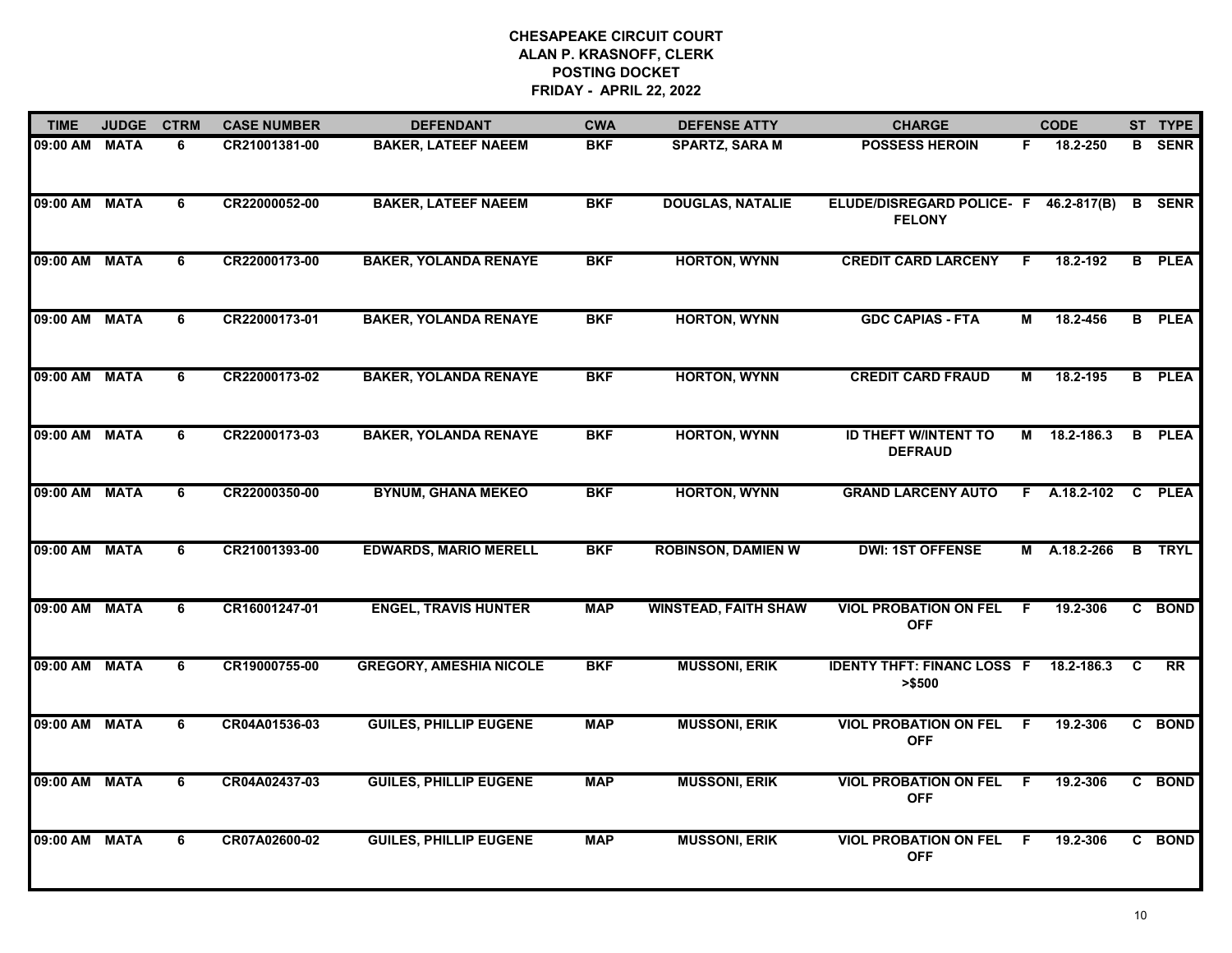| <b>TIME</b>   | <b>JUDGE</b> | <b>CTRM</b>    | <b>CASE NUMBER</b> | <b>DEFENDANT</b>               | <b>CWA</b> | <b>DEFENSE ATTY</b>         | <b>CHARGE</b>                                 |     | <b>CODE</b>  |    | ST TYPE       |
|---------------|--------------|----------------|--------------------|--------------------------------|------------|-----------------------------|-----------------------------------------------|-----|--------------|----|---------------|
| 09:00 AM      | <b>MATA</b>  | 6              | CR21001381-00      | <b>BAKER, LATEEF NAEEM</b>     | <b>BKF</b> | <b>SPARTZ, SARA M</b>       | <b>POSSESS HEROIN</b>                         | F.  | 18.2-250     | B  | <b>SENR</b>   |
| 09:00 AM      | <b>MATA</b>  | 6              | CR22000052-00      | <b>BAKER, LATEEF NAEEM</b>     | <b>BKF</b> | <b>DOUGLAS, NATALIE</b>     | ELUDE/DISREGARD POLICE- F<br><b>FELONY</b>    |     | 46.2-817(B)  | B  | <b>SENR</b>   |
| 09:00 AM      | <b>MATA</b>  | 6              | CR22000173-00      | <b>BAKER, YOLANDA RENAYE</b>   | <b>BKF</b> | <b>HORTON, WYNN</b>         | <b>CREDIT CARD LARCENY</b>                    | F   | 18.2-192     | B  | <b>PLEA</b>   |
| 09:00 AM      | <b>MATA</b>  | 6              | CR22000173-01      | <b>BAKER, YOLANDA RENAYE</b>   | <b>BKF</b> | <b>HORTON, WYNN</b>         | <b>GDC CAPIAS - FTA</b>                       | М   | 18.2-456     |    | <b>B</b> PLEA |
| 09:00 AM MATA |              | 6              | CR22000173-02      | <b>BAKER, YOLANDA RENAYE</b>   | <b>BKF</b> | <b>HORTON, WYNN</b>         | <b>CREDIT CARD FRAUD</b>                      | М   | 18.2-195     |    | <b>B</b> PLEA |
| 09:00 AM MATA |              | 6              | CR22000173-03      | <b>BAKER, YOLANDA RENAYE</b>   | <b>BKF</b> | <b>HORTON, WYNN</b>         | <b>ID THEFT W/INTENT TO</b><br><b>DEFRAUD</b> |     | M 18.2-186.3 | B  | <b>PLEA</b>   |
| 09:00 AM      | <b>MATA</b>  | $\overline{6}$ | CR22000350-00      | <b>BYNUM, GHANA MEKEO</b>      | <b>BKF</b> | <b>HORTON, WYNN</b>         | <b>GRAND LARCENY AUTO</b>                     | F.  | A.18.2-102   | C  | <b>PLEA</b>   |
| 09:00 AM      | <b>MATA</b>  | 6              | CR21001393-00      | <b>EDWARDS, MARIO MERELL</b>   | <b>BKF</b> | <b>ROBINSON, DAMIEN W</b>   | <b>DWI: 1ST OFFENSE</b>                       |     | M A.18.2-266 |    | <b>B</b> TRYL |
| 09:00 AM      | <b>MATA</b>  | 6              | CR16001247-01      | <b>ENGEL, TRAVIS HUNTER</b>    | <b>MAP</b> | <b>WINSTEAD, FAITH SHAW</b> | <b>VIOL PROBATION ON FEL</b><br><b>OFF</b>    | F   | 19.2-306     |    | C BOND        |
| 09:00 AM      | <b>MATA</b>  | 6              | CR19000755-00      | <b>GREGORY, AMESHIA NICOLE</b> | <b>BKF</b> | <b>MUSSONI, ERIK</b>        | <b>IDENTY THFT: FINANC LOSS F</b><br>> \$500  |     | 18.2-186.3   | C  | <b>RR</b>     |
| 09:00 AM MATA |              | 6              | CR04A01536-03      | <b>GUILES, PHILLIP EUGENE</b>  | <b>MAP</b> | <b>MUSSONI, ERIK</b>        | <b>VIOL PROBATION ON FEL</b><br><b>OFF</b>    | F.  | 19.2-306     | C. | <b>BOND</b>   |
| 09:00 AM      | <b>MATA</b>  | 6              | CR04A02437-03      | <b>GUILES, PHILLIP EUGENE</b>  | <b>MAP</b> | <b>MUSSONI, ERIK</b>        | <b>VIOL PROBATION ON FEL</b><br><b>OFF</b>    | F   | 19.2-306     |    | C BOND        |
| 09:00 AM MATA |              | 6              | CR07A02600-02      | <b>GUILES, PHILLIP EUGENE</b>  | <b>MAP</b> | <b>MUSSONI, ERIK</b>        | <b>VIOL PROBATION ON FEL</b><br><b>OFF</b>    | - F | 19.2-306     |    | C BOND        |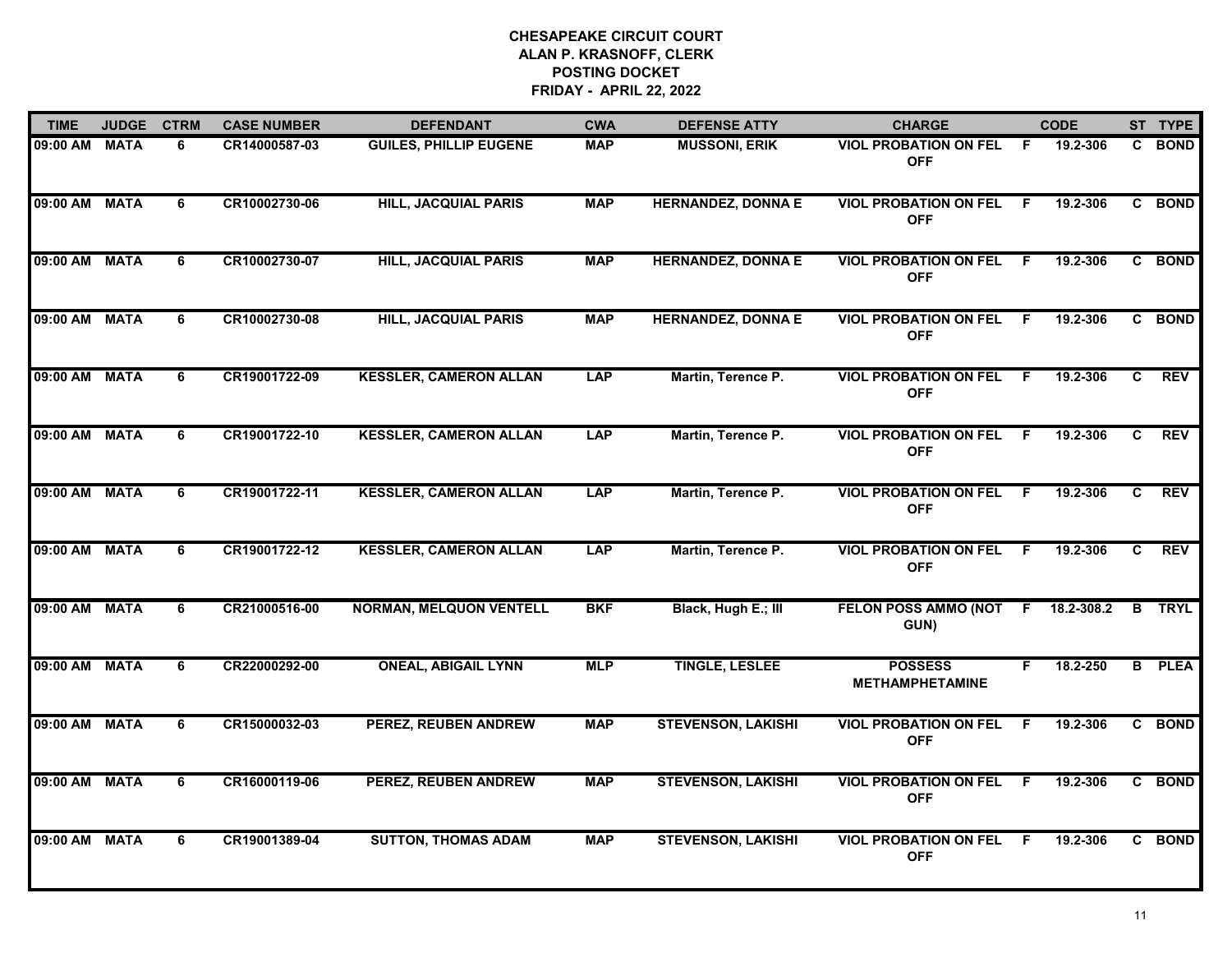| <b>TIME</b>   | <b>JUDGE</b> | <b>CTRM</b>    | <b>CASE NUMBER</b> | <b>DEFENDANT</b>               | <b>CWA</b> | <b>DEFENSE ATTY</b>       | <b>CHARGE</b>                              |     | <b>CODE</b> |    | ST TYPE       |
|---------------|--------------|----------------|--------------------|--------------------------------|------------|---------------------------|--------------------------------------------|-----|-------------|----|---------------|
| 09:00 AM      | <b>MATA</b>  | 6              | CR14000587-03      | <b>GUILES, PHILLIP EUGENE</b>  | <b>MAP</b> | <b>MUSSONI, ERIK</b>      | <b>VIOL PROBATION ON FEL</b><br><b>OFF</b> | F.  | 19.2-306    | C. | <b>BOND</b>   |
| 09:00 AM      | <b>MATA</b>  | 6              | CR10002730-06      | <b>HILL, JACQUIAL PARIS</b>    | <b>MAP</b> | <b>HERNANDEZ, DONNA E</b> | <b>VIOL PROBATION ON FEL</b><br><b>OFF</b> | -F  | 19.2-306    |    | C BOND        |
| 09:00 AM      | <b>MATA</b>  | 6              | CR10002730-07      | <b>HILL, JACQUIAL PARIS</b>    | <b>MAP</b> | <b>HERNANDEZ, DONNA E</b> | <b>VIOL PROBATION ON FEL</b><br><b>OFF</b> | F.  | 19.2-306    |    | C BOND        |
| 09:00 AM      | <b>MATA</b>  | 6              | CR10002730-08      | <b>HILL, JACQUIAL PARIS</b>    | <b>MAP</b> | <b>HERNANDEZ, DONNA E</b> | <b>VIOL PROBATION ON FEL</b><br><b>OFF</b> | F.  | 19.2-306    |    | C BOND        |
| 09:00 AM MATA |              | 6              | CR19001722-09      | <b>KESSLER, CAMERON ALLAN</b>  | <b>LAP</b> | Martin, Terence P.        | <b>VIOL PROBATION ON FEL</b><br><b>OFF</b> | F.  | 19.2-306    | C. | <b>REV</b>    |
| 09:00 AM MATA |              | 6              | CR19001722-10      | <b>KESSLER, CAMERON ALLAN</b>  | <b>LAP</b> | Martin, Terence P.        | <b>VIOL PROBATION ON FEL</b><br><b>OFF</b> | - F | 19.2-306    | C. | <b>REV</b>    |
| 09:00 AM      | <b>MATA</b>  | $\overline{6}$ | CR19001722-11      | <b>KESSLER, CAMERON ALLAN</b>  | <b>LAP</b> | Martin, Terence P.        | <b>VIOL PROBATION ON FEL</b><br><b>OFF</b> | F.  | 19.2-306    | C  | <b>REV</b>    |
| 09:00 AM MATA |              | 6              | CR19001722-12      | <b>KESSLER, CAMERON ALLAN</b>  | <b>LAP</b> | Martin, Terence P.        | <b>VIOL PROBATION ON FEL</b><br><b>OFF</b> | -F  | 19.2-306    | C  | <b>REV</b>    |
| 09:00 AM      | <b>MATA</b>  | 6              | CR21000516-00      | <b>NORMAN, MELQUON VENTELL</b> | <b>BKF</b> | Black, Hugh E.; III       | <b>FELON POSS AMMO (NOT</b><br>GUN)        | F   | 18.2-308.2  |    | <b>B</b> TRYL |
| 09:00 AM      | <b>MATA</b>  | 6              | CR22000292-00      | <b>ONEAL, ABIGAIL LYNN</b>     | <b>MLP</b> | <b>TINGLE, LESLEE</b>     | <b>POSSESS</b><br><b>METHAMPHETAMINE</b>   | F.  | 18.2-250    |    | <b>B</b> PLEA |
| 09:00 AM      | <b>MATA</b>  | 6              | CR15000032-03      | PEREZ, REUBEN ANDREW           | <b>MAP</b> | <b>STEVENSON, LAKISHI</b> | <b>VIOL PROBATION ON FEL</b><br><b>OFF</b> | F.  | 19.2-306    |    | C BOND        |
| 09:00 AM MATA |              | 6              | CR16000119-06      | <b>PEREZ, REUBEN ANDREW</b>    | <b>MAP</b> | <b>STEVENSON, LAKISHI</b> | <b>VIOL PROBATION ON FEL</b><br><b>OFF</b> | F.  | 19.2-306    |    | C BOND        |
| 09:00 AM      | <b>MATA</b>  | 6              | CR19001389-04      | <b>SUTTON, THOMAS ADAM</b>     | <b>MAP</b> | <b>STEVENSON, LAKISHI</b> | <b>VIOL PROBATION ON FEL</b><br><b>OFF</b> | -F  | 19.2-306    |    | C BOND        |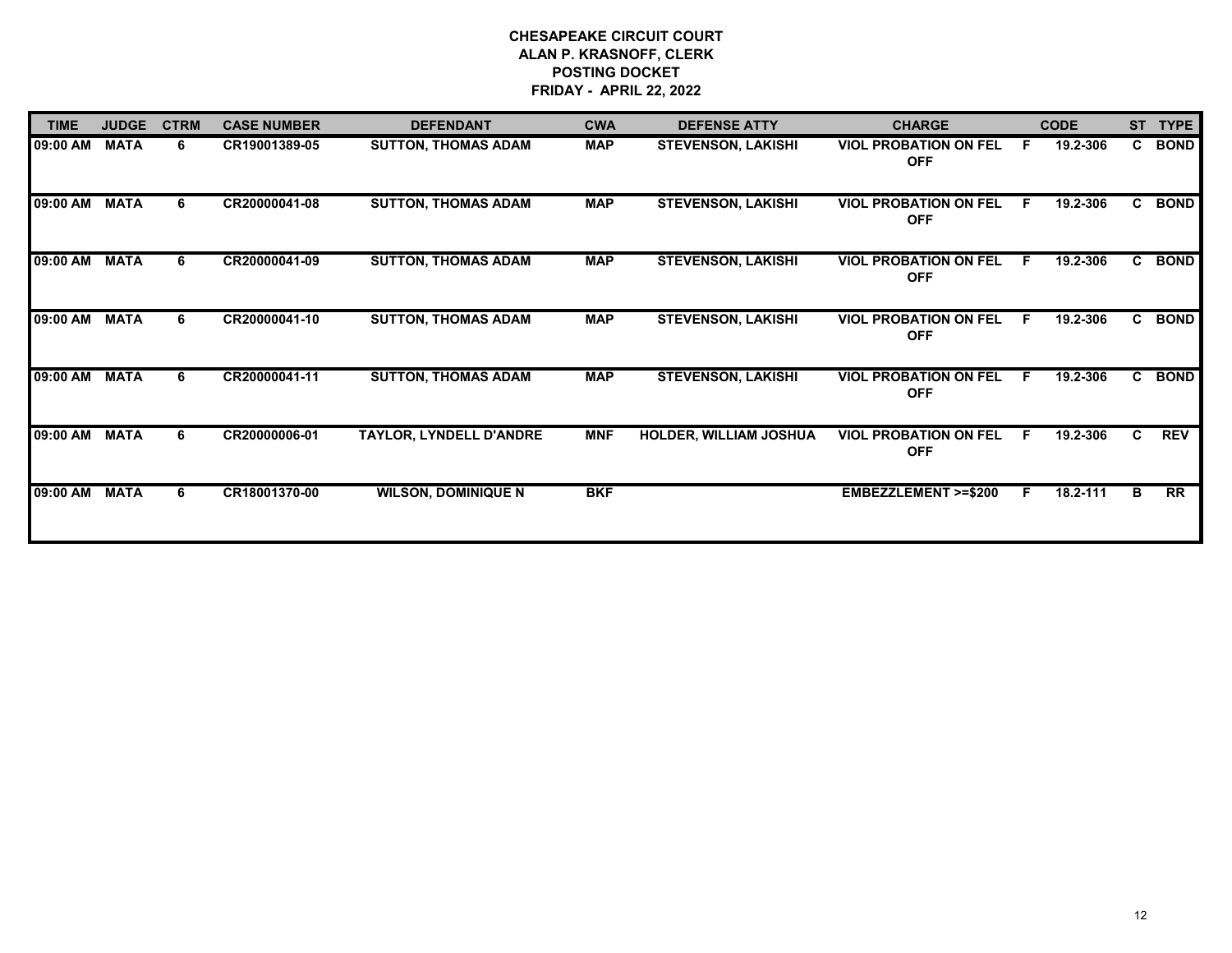| <b>TIME</b>   | <b>JUDGE</b> | <b>CTRM</b> | <b>CASE NUMBER</b> | <b>DEFENDANT</b>               | <b>CWA</b> | <b>DEFENSE ATTY</b>           | <b>CHARGE</b>                              |    | <b>CODE</b> | <b>ST</b>    | <b>TYPE</b> |
|---------------|--------------|-------------|--------------------|--------------------------------|------------|-------------------------------|--------------------------------------------|----|-------------|--------------|-------------|
| 09:00 AM      | <b>MATA</b>  | 6           | CR19001389-05      | <b>SUTTON, THOMAS ADAM</b>     | <b>MAP</b> | <b>STEVENSON, LAKISHI</b>     | <b>VIOL PROBATION ON FEL</b><br><b>OFF</b> | F  | 19.2-306    | $\mathbf{c}$ | <b>BOND</b> |
| 09:00 AM      | <b>MATA</b>  | 6           | CR20000041-08      | <b>SUTTON, THOMAS ADAM</b>     | <b>MAP</b> | <b>STEVENSON, LAKISHI</b>     | <b>VIOL PROBATION ON FEL</b><br><b>OFF</b> | E  | 19.2-306    | C            | <b>BOND</b> |
| 09:00 AM      | <b>MATA</b>  | 6           | CR20000041-09      | <b>SUTTON, THOMAS ADAM</b>     | <b>MAP</b> | <b>STEVENSON, LAKISHI</b>     | <b>VIOL PROBATION ON FEL</b><br><b>OFF</b> | E  | 19.2-306    | C            | <b>BOND</b> |
| 09:00 AM      | <b>MATA</b>  | 6           | CR20000041-10      | <b>SUTTON, THOMAS ADAM</b>     | <b>MAP</b> | <b>STEVENSON, LAKISHI</b>     | <b>VIOL PROBATION ON FEL</b><br><b>OFF</b> | E  | 19.2-306    | $\mathbf{c}$ | <b>BOND</b> |
| 09:00 AM      | <b>MATA</b>  | 6           | CR20000041-11      | <b>SUTTON, THOMAS ADAM</b>     | <b>MAP</b> | <b>STEVENSON, LAKISHI</b>     | <b>VIOL PROBATION ON FEL</b><br><b>OFF</b> | E  | 19.2-306    | C            | <b>BOND</b> |
| 09:00 AM      | <b>MATA</b>  | 6           | CR20000006-01      | <b>TAYLOR, LYNDELL D'ANDRE</b> | <b>MNF</b> | <b>HOLDER, WILLIAM JOSHUA</b> | <b>VIOL PROBATION ON FEL</b><br><b>OFF</b> | F. | 19.2-306    | C.           | <b>REV</b>  |
| 09:00 AM MATA |              | 6           | CR18001370-00      | <b>WILSON, DOMINIQUE N</b>     | <b>BKF</b> |                               | <b>EMBEZZLEMENT &gt;=\$200</b>             | F. | 18.2-111    | в            | RR          |